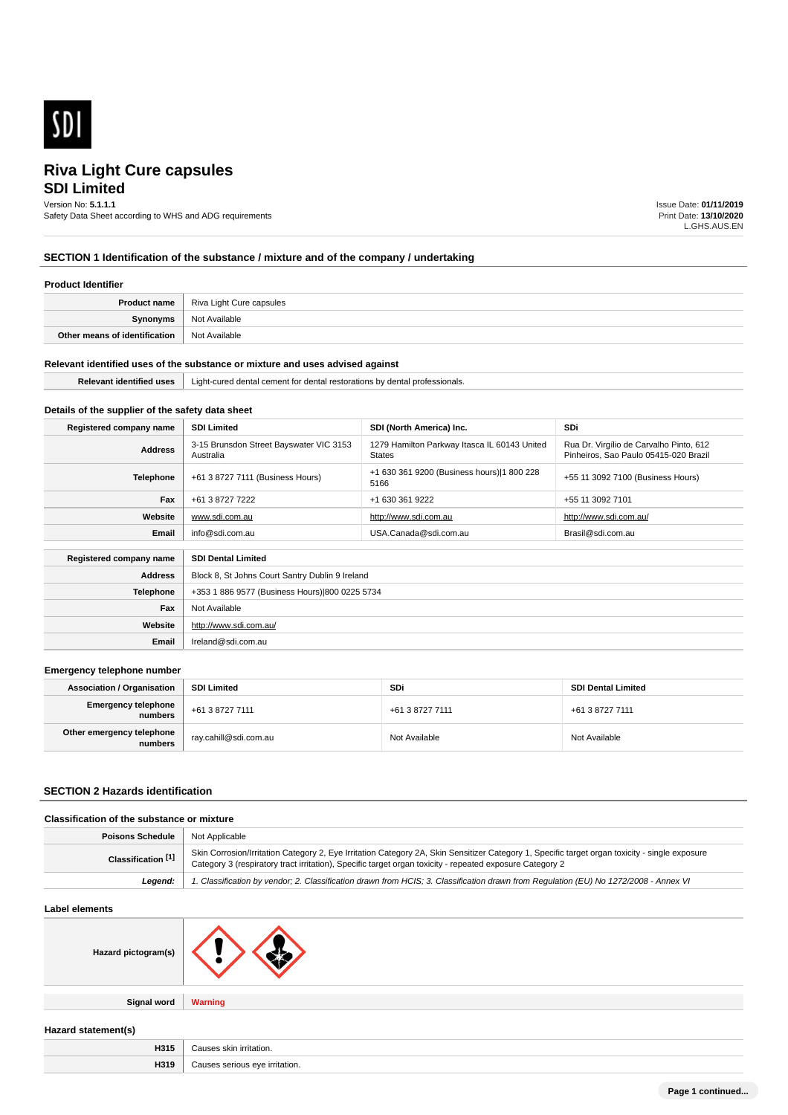

# **SDI Limited Riva Light Cure capsules**

# Version No: **5.1.1.1**

Safety Data Sheet according to WHS and ADG requirements

Issue Date: **01/11/2019** Print Date: **13/10/2020** L.GHS.AUS.EN

# **SECTION 1 Identification of the substance / mixture and of the company / undertaking**

#### **Product Identifier**

|                               | <b>Product name</b>   Riva Light Cure capsules |
|-------------------------------|------------------------------------------------|
| <b>Synonyms</b>               | Not Available                                  |
| Other means of identification | <sup>1</sup> Not Available                     |

#### **Relevant identified uses of the substance or mixture and uses advised against**

| . | '⊥iaht-cured<br>A<br>comont<br>'IONS<br>, ,,,,,,,,,<br>esionais.<br>ша<br>1538881<br>. |  |
|---|----------------------------------------------------------------------------------------|--|
|   |                                                                                        |  |

# **Details of the supplier of the safety data sheet**

**Website**

**Email** Ireland@sdi.com.au

http://www.sdi.com.au/

| Registered company name | <b>SDI Limited</b>                                   | SDI (North America) Inc.                                      | <b>SDi</b>                                                                       |
|-------------------------|------------------------------------------------------|---------------------------------------------------------------|----------------------------------------------------------------------------------|
| <b>Address</b>          | 3-15 Brunsdon Street Bayswater VIC 3153<br>Australia | 1279 Hamilton Parkway Itasca IL 60143 United<br><b>States</b> | Rua Dr. Virgílio de Carvalho Pinto, 612<br>Pinheiros, Sao Paulo 05415-020 Brazil |
| Telephone               | +61 3 8727 7111 (Business Hours)                     | +1 630 361 9200 (Business hours) 1 800 228<br>5166            | +55 11 3092 7100 (Business Hours)                                                |
| Fax                     | +61 3 8727 7222                                      | +1 630 361 9222                                               | +55 11 3092 7101                                                                 |
| Website                 | www.sdi.com.au                                       | http://www.sdi.com.au                                         | http://www.sdi.com.au/                                                           |
| Email                   | info@sdi.com.au                                      | USA.Canada@sdi.com.au                                         | Brasil@sdi.com.au                                                                |
| Registered company name | <b>SDI Dental Limited</b>                            |                                                               |                                                                                  |
| <b>Address</b>          | Block 8, St Johns Court Santry Dublin 9 Ireland      |                                                               |                                                                                  |
| Telephone               | +353 1 886 9577 (Business Hours) 800 0225 5734       |                                                               |                                                                                  |
| Fax                     | Not Available                                        |                                                               |                                                                                  |

#### **Emergency telephone number**

| <b>Association / Organisation</b>    | <b>SDI Limited</b>    | <b>SDi</b>      | <b>SDI Dental Limited</b> |
|--------------------------------------|-----------------------|-----------------|---------------------------|
| Emergency telephone<br>numbers       | +61 3 8727 7111       | +61 3 8727 7111 | +61 3 8727 7111           |
| Other emergency telephone<br>numbers | ray.cahill@sdi.com.au | Not Available   | Not Available             |

### **SECTION 2 Hazards identification**

## **Classification of the substance or mixture**

| <b>Poisons Schedule</b> | Not Applicable                                                                                                                                                                                                                                             |
|-------------------------|------------------------------------------------------------------------------------------------------------------------------------------------------------------------------------------------------------------------------------------------------------|
| Classification [1]      | Skin Corrosion/Irritation Category 2, Eye Irritation Category 2A, Skin Sensitizer Category 1, Specific target organ toxicity - single exposure<br>Category 3 (respiratory tract irritation), Specific target organ toxicity - repeated exposure Category 2 |
| Leaend:                 | 1. Classification by vendor; 2. Classification drawn from HCIS; 3. Classification drawn from Requlation (EU) No 1272/2008 - Annex VI                                                                                                                       |

#### **Label elements**

| Hazard pictogram(s) |  |
|---------------------|--|
|                     |  |

**Signal word Warning**

**Hazard statement(s)**

| H315 | ; skin irritation.<br>Cause <sup>®</sup>    |
|------|---------------------------------------------|
| H319 | ≅irritation.<br>יאו ובי<br>serious<br>הנותי |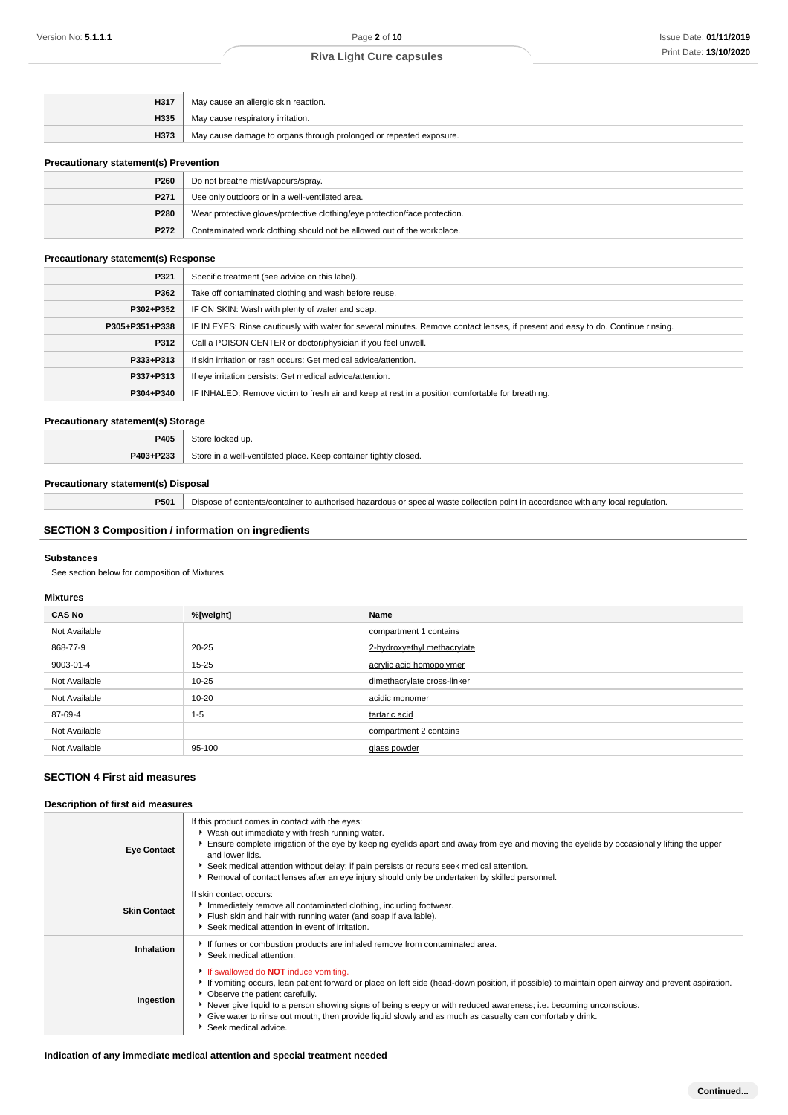| H317 | May cause an allergic skin reaction.                               |
|------|--------------------------------------------------------------------|
| H335 | May cause respiratory irritation.                                  |
| H373 | May cause damage to organs through prolonged or repeated exposure. |
|      |                                                                    |

#### **Precautionary statement(s) Prevention**

| P260 | Do not breathe mist/vapours/spray.                                         |
|------|----------------------------------------------------------------------------|
| P271 | Use only outdoors or in a well-ventilated area.                            |
| P280 | Wear protective gloves/protective clothing/eye protection/face protection. |
| P272 | Contaminated work clothing should not be allowed out of the workplace.     |

#### **Precautionary statement(s) Response**

| P321           | Specific treatment (see advice on this label).                                                                                   |
|----------------|----------------------------------------------------------------------------------------------------------------------------------|
| P362           | Take off contaminated clothing and wash before reuse.                                                                            |
| P302+P352      | IF ON SKIN: Wash with plenty of water and soap.                                                                                  |
| P305+P351+P338 | IF IN EYES: Rinse cautiously with water for several minutes. Remove contact lenses, if present and easy to do. Continue rinsing. |
| P312           | Call a POISON CENTER or doctor/physician if you feel unwell.                                                                     |
| P333+P313      | If skin irritation or rash occurs: Get medical advice/attention.                                                                 |
| P337+P313      | If eye irritation persists: Get medical advice/attention.                                                                        |
| P304+P340      | IF INHALED: Remove victim to fresh air and keep at rest in a position comfortable for breathing.                                 |

#### **Precautionary statement(s) Storage**

| 7405      |                                                                  |
|-----------|------------------------------------------------------------------|
| P403+P233 | Store in a well-ventilated place. Keep container tightly closed. |

### **Precautionary statement(s) Disposal**

**P501** Dispose of contents/container to authorised hazardous or special waste collection point in accordance with any local regulation.

# **SECTION 3 Composition / information on ingredients**

#### **Substances**

See section below for composition of Mixtures

#### **Mixtures**

| <b>CAS No</b> | %[weight] | Name                        |
|---------------|-----------|-----------------------------|
| Not Available |           | compartment 1 contains      |
| 868-77-9      | $20 - 25$ | 2-hydroxyethyl methacrylate |
| 9003-01-4     | $15 - 25$ | acrylic acid homopolymer    |
| Not Available | 10-25     | dimethacrylate cross-linker |
| Not Available | $10 - 20$ | acidic monomer              |
| 87-69-4       | $1 - 5$   | tartaric acid               |
| Not Available |           | compartment 2 contains      |
| Not Available | 95-100    | glass powder                |

# **SECTION 4 First aid measures**

#### **Description of first aid measures Eye Contact** If this product comes in contact with the eyes:  $\blacktriangleright$  Wash out immediately with fresh running water. Ensure complete irrigation of the eye by keeping eyelids apart and away from eye and moving the eyelids by occasionally lifting the upper and lower lids. Seek medical attention without delay; if pain persists or recurs seek medical attention. **Removal of contact lenses after an eye injury should only be undertaken by skilled personnel. Skin Contact** If skin contact occurs: **Immediately remove all contaminated clothing, including footwear.** Flush skin and hair with running water (and soap if available). Seek medical attention in event of irritation. Inhalation **If it is a Inhalation Inhalation I I** If fumes or combustion products are inhaled remove from contaminated area. Seek medical attention. **Ingestion** If swallowed do **NOT** induce vomiting. If vomiting occurs, lean patient forward or place on left side (head-down position, if possible) to maintain open airway and prevent aspiration. Observe the patient carefully. Never give liquid to a person showing signs of being sleepy or with reduced awareness; i.e. becoming unconscious. Give water to rinse out mouth, then provide liquid slowly and as much as casualty can comfortably drink. Seek medical advice.

#### **Indication of any immediate medical attention and special treatment needed**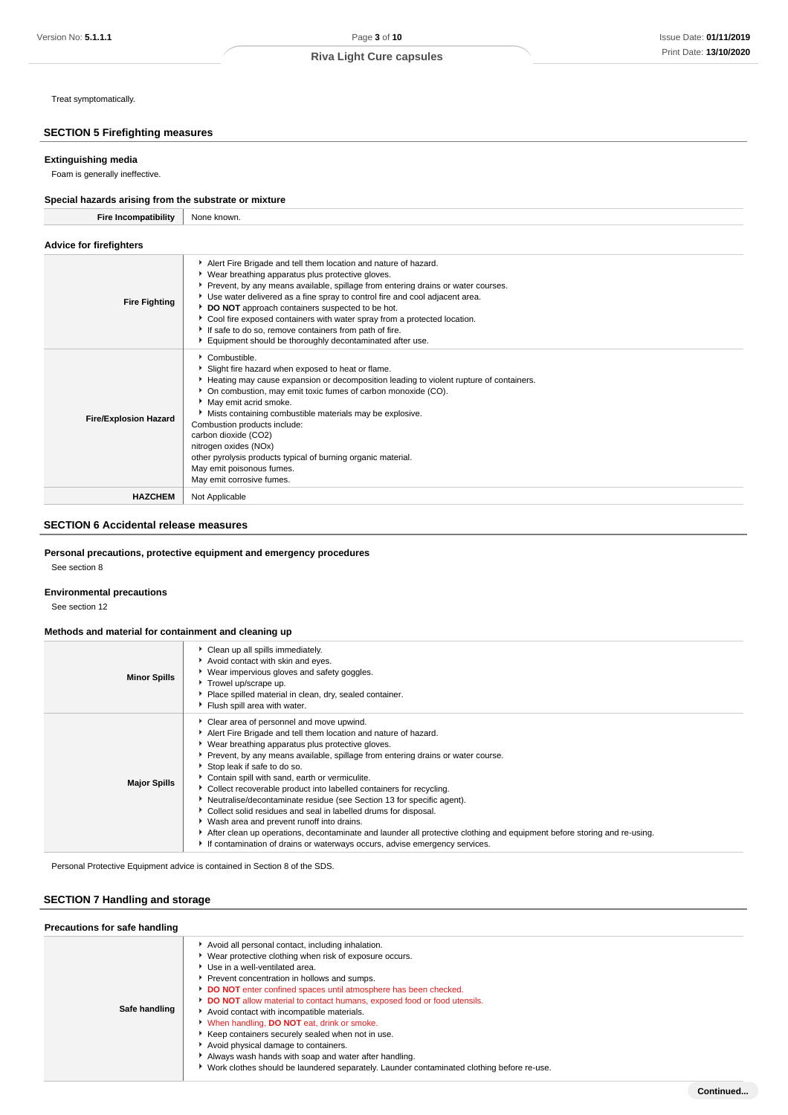Treat symptomatically.

# **SECTION 5 Firefighting measures**

# **Extinguishing media**

Foam is generally ineffective.

#### **Special hazards arising from the substrate or mixture Fire Incompatibility** None known.

| Fire incompatibility           | None known.                                                                                                                                                                                                                                                                                                                                                                                                                                                                                                                                       |
|--------------------------------|---------------------------------------------------------------------------------------------------------------------------------------------------------------------------------------------------------------------------------------------------------------------------------------------------------------------------------------------------------------------------------------------------------------------------------------------------------------------------------------------------------------------------------------------------|
| <b>Advice for firefighters</b> |                                                                                                                                                                                                                                                                                                                                                                                                                                                                                                                                                   |
| <b>Fire Fighting</b>           | Alert Fire Brigade and tell them location and nature of hazard.<br>▶ Wear breathing apparatus plus protective gloves.<br>▶ Prevent, by any means available, spillage from entering drains or water courses.<br>▶ Use water delivered as a fine spray to control fire and cool adjacent area.<br>DO NOT approach containers suspected to be hot.<br>Cool fire exposed containers with water spray from a protected location.<br>If safe to do so, remove containers from path of fire.<br>Equipment should be thoroughly decontaminated after use. |
| <b>Fire/Explosion Hazard</b>   | Combustible.<br>Slight fire hazard when exposed to heat or flame.<br>Heating may cause expansion or decomposition leading to violent rupture of containers.<br>• On combustion, may emit toxic fumes of carbon monoxide (CO).<br>May emit acrid smoke.<br>Mists containing combustible materials may be explosive.<br>Combustion products include:<br>carbon dioxide (CO2)<br>nitrogen oxides (NOx)<br>other pyrolysis products typical of burning organic material.<br>May emit poisonous fumes.<br>May emit corrosive fumes.                    |
| <b>HAZCHEM</b>                 | Not Applicable                                                                                                                                                                                                                                                                                                                                                                                                                                                                                                                                    |

# **SECTION 6 Accidental release measures**

### **Personal precautions, protective equipment and emergency procedures**

See section 8

### **Environmental precautions**

See section 12

### **Methods and material for containment and cleaning up**

| <b>Minor Spills</b> | • Clean up all spills immediately.<br>Avoid contact with skin and eyes.<br>▶ Wear impervious gloves and safety goggles.<br>Trowel up/scrape up.<br>Place spilled material in clean, dry, sealed container.<br>Flush spill area with water.                                                                                                                                                                                                                                                                                                                                                                                                                                                                                                                                                                         |
|---------------------|--------------------------------------------------------------------------------------------------------------------------------------------------------------------------------------------------------------------------------------------------------------------------------------------------------------------------------------------------------------------------------------------------------------------------------------------------------------------------------------------------------------------------------------------------------------------------------------------------------------------------------------------------------------------------------------------------------------------------------------------------------------------------------------------------------------------|
| <b>Major Spills</b> | Clear area of personnel and move upwind.<br>Alert Fire Brigade and tell them location and nature of hazard.<br>▶ Wear breathing apparatus plus protective gloves.<br>Prevent, by any means available, spillage from entering drains or water course.<br>Stop leak if safe to do so.<br>Contain spill with sand, earth or vermiculite.<br>Collect recoverable product into labelled containers for recycling.<br>• Neutralise/decontaminate residue (see Section 13 for specific agent).<br>Collect solid residues and seal in labelled drums for disposal.<br>• Wash area and prevent runoff into drains.<br>After clean up operations, decontaminate and launder all protective clothing and equipment before storing and re-using.<br>If contamination of drains or waterways occurs, advise emergency services. |

Personal Protective Equipment advice is contained in Section 8 of the SDS.

# **SECTION 7 Handling and storage**

| Precautions for safe handling |                                                                                                                                                                                                                                                                                                                                                                                                                                                                                                                                                                                                                                                                                                     |  |  |  |
|-------------------------------|-----------------------------------------------------------------------------------------------------------------------------------------------------------------------------------------------------------------------------------------------------------------------------------------------------------------------------------------------------------------------------------------------------------------------------------------------------------------------------------------------------------------------------------------------------------------------------------------------------------------------------------------------------------------------------------------------------|--|--|--|
| Safe handling                 | Avoid all personal contact, including inhalation.<br>▶ Wear protective clothing when risk of exposure occurs.<br>Use in a well-ventilated area.<br>Prevent concentration in hollows and sumps.<br>DO NOT enter confined spaces until atmosphere has been checked.<br>DO NOT allow material to contact humans, exposed food or food utensils.<br>Avoid contact with incompatible materials.<br>When handling, <b>DO NOT</b> eat, drink or smoke.<br>Keep containers securely sealed when not in use.<br>Avoid physical damage to containers.<br>Always wash hands with soap and water after handling.<br>► Work clothes should be laundered separately. Launder contaminated clothing before re-use. |  |  |  |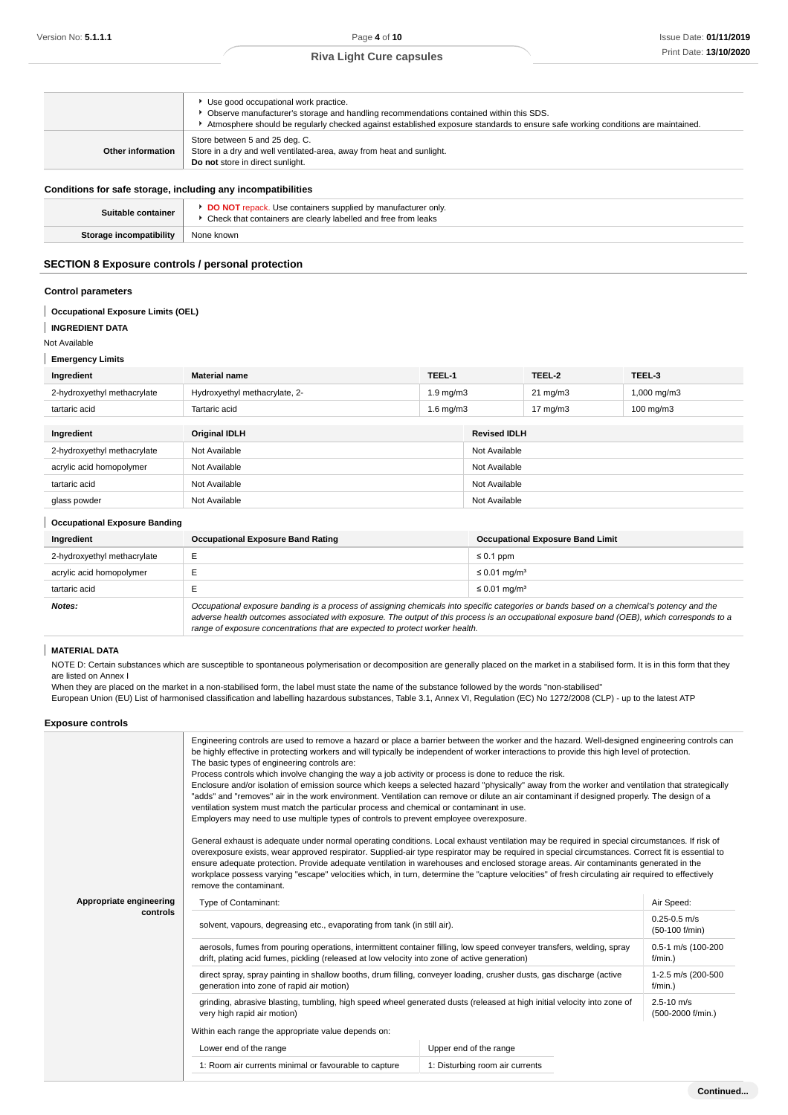|                   | Use good occupational work practice.<br>• Observe manufacturer's storage and handling recommendations contained within this SDS. |
|-------------------|----------------------------------------------------------------------------------------------------------------------------------|
|                   | Atmosphere should be regularly checked against established exposure standards to ensure safe working conditions are maintained.  |
|                   | Store between 5 and 25 deg. C.                                                                                                   |
| Other information | Store in a dry and well ventilated-area, away from heat and sunlight.<br>Do not store in direct sunlight.                        |

#### **Conditions for safe storage, including any incompatibilities**

| $\sim$                  |                                                                                                                                  |
|-------------------------|----------------------------------------------------------------------------------------------------------------------------------|
| Suitable container      | DO NOT repack. Use containers supplied by manufacturer only.<br>▶ Check that containers are clearly labelled and free from leaks |
| Storage incompatibility | None known                                                                                                                       |
|                         |                                                                                                                                  |

## **SECTION 8 Exposure controls / personal protection**

#### **Control parameters**

### **Occupational Exposure Limits (OEL)**

**INGREDIENT DATA** Ī

Not Available

**Emergency Limits**

| Ingredient                  | <b>Material name</b>          | TEEL-1         |                     | TEEL-2            | TEEL-3               |  |
|-----------------------------|-------------------------------|----------------|---------------------|-------------------|----------------------|--|
| 2-hydroxyethyl methacrylate | Hydroxyethyl methacrylate, 2- | $1.9$ mg/m $3$ |                     | $21 \text{ mg/m}$ | $1,000$ mg/m $3$     |  |
| tartaric acid               | Tartaric acid                 | $1.6$ mg/m $3$ |                     | $17 \text{ mg/m}$ | $100 \text{ mg/m}$ 3 |  |
|                             |                               |                |                     |                   |                      |  |
| Ingredient                  | <b>Original IDLH</b>          |                | <b>Revised IDLH</b> |                   |                      |  |
| 2-hydroxyethyl methacrylate | Not Available                 |                |                     | Not Available     |                      |  |
| acrylic acid homopolymer    | Not Available                 |                | Not Available       |                   |                      |  |
| tartaric acid               | Not Available                 |                | Not Available       |                   |                      |  |
| glass powder                | Not Available                 |                | Not Available       |                   |                      |  |

### **Occupational Exposure Banding**

| Ingredient                  | <b>Occupational Exposure Band Rating</b>                                                                                                                                                                                                                                                 | <b>Occupational Exposure Band Limit</b> |  |
|-----------------------------|------------------------------------------------------------------------------------------------------------------------------------------------------------------------------------------------------------------------------------------------------------------------------------------|-----------------------------------------|--|
| 2-hydroxyethyl methacrylate |                                                                                                                                                                                                                                                                                          | $\leq 0.1$ ppm                          |  |
| acrylic acid homopolymer    |                                                                                                                                                                                                                                                                                          | $\leq$ 0.01 mg/m <sup>3</sup>           |  |
| tartaric acid               |                                                                                                                                                                                                                                                                                          | $\leq$ 0.01 mg/m <sup>3</sup>           |  |
| Notes:                      | Occupational exposure banding is a process of assigning chemicals into specific categories or bands based on a chemical's potency and the<br>adverse health outcomes associated with exposure. The output of this process is an occupational exposure band (OEB), which corresponds to a |                                         |  |

T **MATERIAL DATA**

NOTE D: Certain substances which are susceptible to spontaneous polymerisation or decomposition are generally placed on the market in a stabilised form. It is in this form that they are listed on Annex I

When they are placed on the market in a non-stabilised form, the label must state the name of the substance followed by the words "non-stabilised" European Union (EU) List of harmonised classification and labelling hazardous substances, Table 3.1, Annex VI, Regulation (EC) No 1272/2008 (CLP) - up to the latest ATP

range of exposure concentrations that are expected to protect worker health.

### **Exposure controls**

|                         | Engineering controls are used to remove a hazard or place a barrier between the worker and the hazard. Well-designed engineering controls can<br>be highly effective in protecting workers and will typically be independent of worker interactions to provide this high level of protection.<br>The basic types of engineering controls are:<br>Process controls which involve changing the way a job activity or process is done to reduce the risk.<br>Enclosure and/or isolation of emission source which keeps a selected hazard "physically" away from the worker and ventilation that strategically<br>"adds" and "removes" air in the work environment. Ventilation can remove or dilute an air contaminant if designed properly. The design of a<br>ventilation system must match the particular process and chemical or contaminant in use.<br>Employers may need to use multiple types of controls to prevent employee overexposure.<br>General exhaust is adequate under normal operating conditions. Local exhaust ventilation may be required in special circumstances. If risk of<br>overexposure exists, wear approved respirator. Supplied-air type respirator may be required in special circumstances. Correct fit is essential to<br>ensure adequate protection. Provide adequate ventilation in warehouses and enclosed storage areas. Air contaminants generated in the<br>workplace possess varying "escape" velocities which, in turn, determine the "capture velocities" of fresh circulating air required to effectively<br>remove the contaminant. |                        |                                     |  |
|-------------------------|-------------------------------------------------------------------------------------------------------------------------------------------------------------------------------------------------------------------------------------------------------------------------------------------------------------------------------------------------------------------------------------------------------------------------------------------------------------------------------------------------------------------------------------------------------------------------------------------------------------------------------------------------------------------------------------------------------------------------------------------------------------------------------------------------------------------------------------------------------------------------------------------------------------------------------------------------------------------------------------------------------------------------------------------------------------------------------------------------------------------------------------------------------------------------------------------------------------------------------------------------------------------------------------------------------------------------------------------------------------------------------------------------------------------------------------------------------------------------------------------------------------------------------------------------------------------------------|------------------------|-------------------------------------|--|
| Appropriate engineering | Type of Contaminant:                                                                                                                                                                                                                                                                                                                                                                                                                                                                                                                                                                                                                                                                                                                                                                                                                                                                                                                                                                                                                                                                                                                                                                                                                                                                                                                                                                                                                                                                                                                                                          |                        | Air Speed:                          |  |
| controls                | solvent, vapours, degreasing etc., evaporating from tank (in still air).                                                                                                                                                                                                                                                                                                                                                                                                                                                                                                                                                                                                                                                                                                                                                                                                                                                                                                                                                                                                                                                                                                                                                                                                                                                                                                                                                                                                                                                                                                      |                        | $0.25 - 0.5$ m/s<br>(50-100 f/min)  |  |
|                         | aerosols, fumes from pouring operations, intermittent container filling, low speed conveyer transfers, welding, spray<br>drift, plating acid fumes, pickling (released at low velocity into zone of active generation)                                                                                                                                                                                                                                                                                                                                                                                                                                                                                                                                                                                                                                                                                                                                                                                                                                                                                                                                                                                                                                                                                                                                                                                                                                                                                                                                                        |                        | 0.5-1 m/s (100-200<br>$f/min.$ )    |  |
|                         | direct spray, spray painting in shallow booths, drum filling, conveyer loading, crusher dusts, gas discharge (active<br>generation into zone of rapid air motion)                                                                                                                                                                                                                                                                                                                                                                                                                                                                                                                                                                                                                                                                                                                                                                                                                                                                                                                                                                                                                                                                                                                                                                                                                                                                                                                                                                                                             |                        | 1-2.5 m/s (200-500<br>$f/min.$ )    |  |
|                         | grinding, abrasive blasting, tumbling, high speed wheel generated dusts (released at high initial velocity into zone of<br>very high rapid air motion)                                                                                                                                                                                                                                                                                                                                                                                                                                                                                                                                                                                                                                                                                                                                                                                                                                                                                                                                                                                                                                                                                                                                                                                                                                                                                                                                                                                                                        |                        | $2.5 - 10$ m/s<br>(500-2000 f/min.) |  |
|                         | Within each range the appropriate value depends on:                                                                                                                                                                                                                                                                                                                                                                                                                                                                                                                                                                                                                                                                                                                                                                                                                                                                                                                                                                                                                                                                                                                                                                                                                                                                                                                                                                                                                                                                                                                           |                        |                                     |  |
|                         | Lower end of the range                                                                                                                                                                                                                                                                                                                                                                                                                                                                                                                                                                                                                                                                                                                                                                                                                                                                                                                                                                                                                                                                                                                                                                                                                                                                                                                                                                                                                                                                                                                                                        | Upper end of the range |                                     |  |
|                         | 1: Room air currents minimal or favourable to capture<br>1: Disturbing room air currents                                                                                                                                                                                                                                                                                                                                                                                                                                                                                                                                                                                                                                                                                                                                                                                                                                                                                                                                                                                                                                                                                                                                                                                                                                                                                                                                                                                                                                                                                      |                        |                                     |  |
|                         |                                                                                                                                                                                                                                                                                                                                                                                                                                                                                                                                                                                                                                                                                                                                                                                                                                                                                                                                                                                                                                                                                                                                                                                                                                                                                                                                                                                                                                                                                                                                                                               |                        |                                     |  |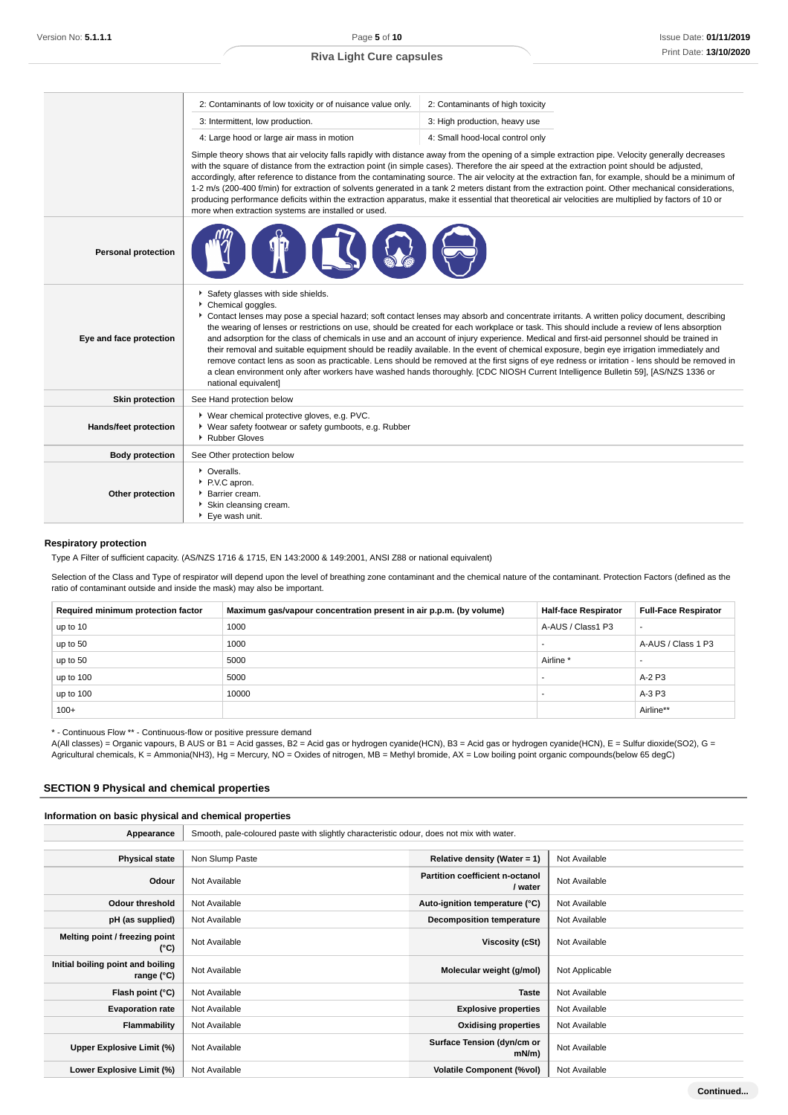|                              | 2: Contaminants of low toxicity or of nuisance value only.                                                                                                                                                                                                                                                                                                                                                                                                                                                                                                                                                                                                                                                                                                                                                                                                                                                                                                    | 2: Contaminants of high toxicity |  |  |
|------------------------------|---------------------------------------------------------------------------------------------------------------------------------------------------------------------------------------------------------------------------------------------------------------------------------------------------------------------------------------------------------------------------------------------------------------------------------------------------------------------------------------------------------------------------------------------------------------------------------------------------------------------------------------------------------------------------------------------------------------------------------------------------------------------------------------------------------------------------------------------------------------------------------------------------------------------------------------------------------------|----------------------------------|--|--|
|                              | 3: Intermittent, low production.                                                                                                                                                                                                                                                                                                                                                                                                                                                                                                                                                                                                                                                                                                                                                                                                                                                                                                                              | 3: High production, heavy use    |  |  |
|                              | 4: Large hood or large air mass in motion                                                                                                                                                                                                                                                                                                                                                                                                                                                                                                                                                                                                                                                                                                                                                                                                                                                                                                                     | 4: Small hood-local control only |  |  |
|                              | Simple theory shows that air velocity falls rapidly with distance away from the opening of a simple extraction pipe. Velocity generally decreases<br>with the square of distance from the extraction point (in simple cases). Therefore the air speed at the extraction point should be adjusted,<br>accordingly, after reference to distance from the contaminating source. The air velocity at the extraction fan, for example, should be a minimum of<br>1-2 m/s (200-400 f/min) for extraction of solvents generated in a tank 2 meters distant from the extraction point. Other mechanical considerations,<br>producing performance deficits within the extraction apparatus, make it essential that theoretical air velocities are multiplied by factors of 10 or<br>more when extraction systems are installed or used.                                                                                                                                |                                  |  |  |
| <b>Personal protection</b>   |                                                                                                                                                                                                                                                                                                                                                                                                                                                                                                                                                                                                                                                                                                                                                                                                                                                                                                                                                               |                                  |  |  |
| Eye and face protection      | Safety glasses with side shields.<br>Chemical goggles.<br>Contact lenses may pose a special hazard; soft contact lenses may absorb and concentrate irritants. A written policy document, describing<br>the wearing of lenses or restrictions on use, should be created for each workplace or task. This should include a review of lens absorption<br>and adsorption for the class of chemicals in use and an account of injury experience. Medical and first-aid personnel should be trained in<br>their removal and suitable equipment should be readily available. In the event of chemical exposure, begin eye irrigation immediately and<br>remove contact lens as soon as practicable. Lens should be removed at the first signs of eye redness or irritation - lens should be removed in<br>a clean environment only after workers have washed hands thoroughly. [CDC NIOSH Current Intelligence Bulletin 59], [AS/NZS 1336 or<br>national equivalent] |                                  |  |  |
| <b>Skin protection</b>       | See Hand protection below                                                                                                                                                                                                                                                                                                                                                                                                                                                                                                                                                                                                                                                                                                                                                                                                                                                                                                                                     |                                  |  |  |
| <b>Hands/feet protection</b> | ▶ Wear chemical protective gloves, e.g. PVC.<br>• Wear safety footwear or safety gumboots, e.g. Rubber<br>▶ Rubber Gloves                                                                                                                                                                                                                                                                                                                                                                                                                                                                                                                                                                                                                                                                                                                                                                                                                                     |                                  |  |  |
| <b>Body protection</b>       | See Other protection below                                                                                                                                                                                                                                                                                                                                                                                                                                                                                                                                                                                                                                                                                                                                                                                                                                                                                                                                    |                                  |  |  |
| Other protection             | • Overalls.<br>P.V.C apron.<br>Barrier cream.<br>Skin cleansing cream.<br>▶ Eye wash unit.                                                                                                                                                                                                                                                                                                                                                                                                                                                                                                                                                                                                                                                                                                                                                                                                                                                                    |                                  |  |  |

# **Respiratory protection**

Type A Filter of sufficient capacity. (AS/NZS 1716 & 1715, EN 143:2000 & 149:2001, ANSI Z88 or national equivalent)

Selection of the Class and Type of respirator will depend upon the level of breathing zone contaminant and the chemical nature of the contaminant. Protection Factors (defined as the ratio of contaminant outside and inside the mask) may also be important.

| Required minimum protection factor | Maximum gas/vapour concentration present in air p.p.m. (by volume) | <b>Half-face Respirator</b> | <b>Full-Face Respirator</b> |
|------------------------------------|--------------------------------------------------------------------|-----------------------------|-----------------------------|
| up to 10                           | 1000                                                               | A-AUS / Class1 P3           | $\overline{\phantom{a}}$    |
| up to 50                           | 1000                                                               |                             | A-AUS / Class 1 P3          |
| up to 50                           | 5000                                                               | Airline <sup>*</sup>        |                             |
| up to 100                          | 5000                                                               |                             | $A-2P3$                     |
| up to 100                          | 10000                                                              |                             | A-3 P3                      |
| $100+$                             |                                                                    |                             | Airline**                   |

\* - Continuous Flow \*\* - Continuous-flow or positive pressure demand

A(All classes) = Organic vapours, B AUS or B1 = Acid gasses, B2 = Acid gas or hydrogen cyanide(HCN), B3 = Acid gas or hydrogen cyanide(HCN), E = Sulfur dioxide(SO2), G = Agricultural chemicals, K = Ammonia(NH3), Hg = Mercury, NO = Oxides of nitrogen, MB = Methyl bromide, AX = Low boiling point organic compounds(below 65 degC)

# **SECTION 9 Physical and chemical properties**

### **Information on basic physical and chemical properties**

| Appearance                                      | Smooth, pale-coloured paste with slightly characteristic odour, does not mix with water. |                                            |                |  |
|-------------------------------------------------|------------------------------------------------------------------------------------------|--------------------------------------------|----------------|--|
|                                                 |                                                                                          |                                            |                |  |
| <b>Physical state</b>                           | Non Slump Paste                                                                          | Relative density (Water = $1$ )            | Not Available  |  |
| Odour                                           | Not Available                                                                            | Partition coefficient n-octanol<br>/ water | Not Available  |  |
| Odour threshold                                 | Not Available                                                                            | Auto-ignition temperature (°C)             | Not Available  |  |
| pH (as supplied)                                | Not Available                                                                            | Decomposition temperature                  | Not Available  |  |
| Melting point / freezing point<br>(°C)          | Not Available                                                                            | Viscosity (cSt)                            | Not Available  |  |
| Initial boiling point and boiling<br>range (°C) | Not Available                                                                            | Molecular weight (g/mol)                   | Not Applicable |  |
| Flash point (°C)                                | Not Available                                                                            | <b>Taste</b>                               | Not Available  |  |
| <b>Evaporation rate</b>                         | Not Available                                                                            | <b>Explosive properties</b>                | Not Available  |  |
| Flammability                                    | Not Available                                                                            | <b>Oxidising properties</b>                | Not Available  |  |
| Upper Explosive Limit (%)                       | Not Available                                                                            | Surface Tension (dyn/cm or<br>mN/m         | Not Available  |  |
| Lower Explosive Limit (%)                       | Not Available                                                                            | <b>Volatile Component (%vol)</b>           | Not Available  |  |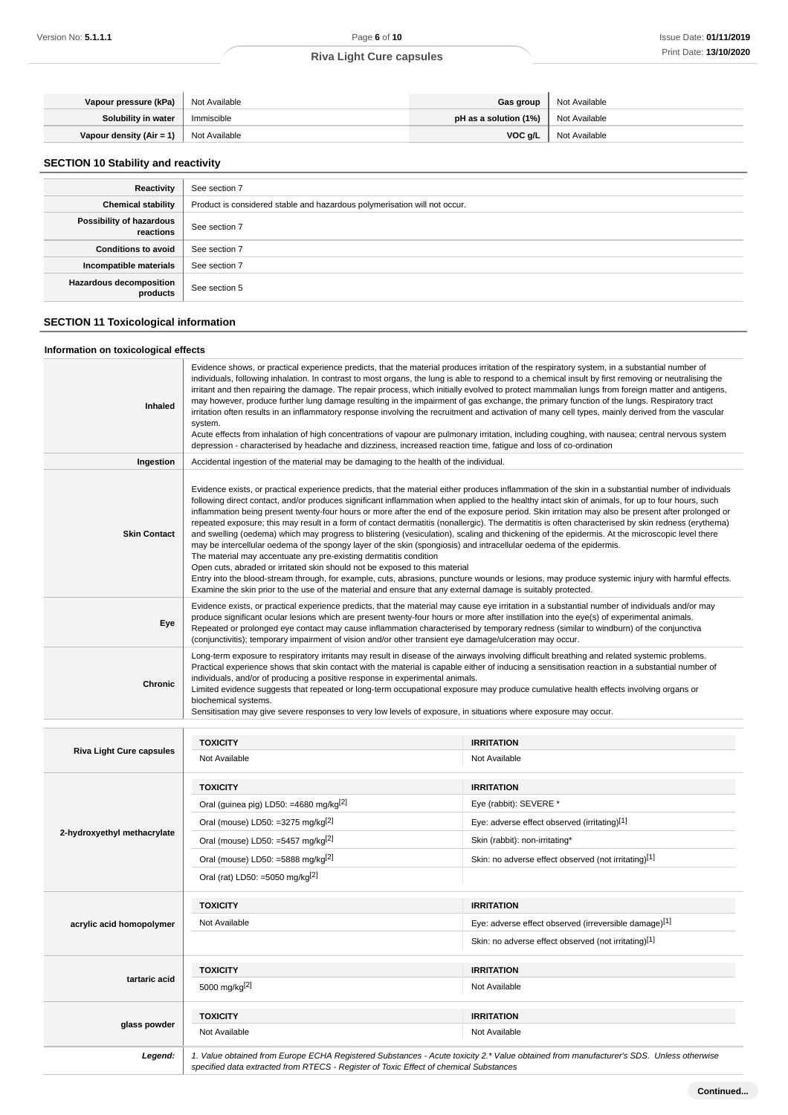| Vapour pressure (kPa)    | Not Available | <b>Gas group</b>        | Not Available |
|--------------------------|---------------|-------------------------|---------------|
| Solubility in water      | Immiscible    | pH as a solution $(1%)$ | Not Available |
| Vapour density (Air = 1) | Not Available | VOC a/L                 | Not Available |

# **SECTION 10 Stability and reactivity**

| Reactivity                            | See section 7                                                             |
|---------------------------------------|---------------------------------------------------------------------------|
| <b>Chemical stability</b>             | Product is considered stable and hazardous polymerisation will not occur. |
| Possibility of hazardous<br>reactions | See section 7                                                             |
| <b>Conditions to avoid</b>            | See section 7                                                             |
| Incompatible materials                | See section 7                                                             |
| Hazardous decomposition<br>products   | See section 5                                                             |

# **SECTION 11 Toxicological information**

# **Information on toxicological effects**

| Inhaled                         | Evidence shows, or practical experience predicts, that the material produces irritation of the respiratory system, in a substantial number of<br>individuals, following inhalation. In contrast to most organs, the lung is able to respond to a chemical insult by first removing or neutralising the<br>irritant and then repairing the damage. The repair process, which initially evolved to protect mammalian lungs from foreign matter and antigens,<br>may however, produce further lung damage resulting in the impairment of gas exchange, the primary function of the lungs. Respiratory tract<br>irritation often results in an inflammatory response involving the recruitment and activation of many cell types, mainly derived from the vascular<br>system.<br>Acute effects from inhalation of high concentrations of vapour are pulmonary irritation, including coughing, with nausea; central nervous system<br>depression - characterised by headache and dizziness, increased reaction time, fatigue and loss of co-ordination                                                                                                                                                                                                                                                                     |                                                       |  |
|---------------------------------|-----------------------------------------------------------------------------------------------------------------------------------------------------------------------------------------------------------------------------------------------------------------------------------------------------------------------------------------------------------------------------------------------------------------------------------------------------------------------------------------------------------------------------------------------------------------------------------------------------------------------------------------------------------------------------------------------------------------------------------------------------------------------------------------------------------------------------------------------------------------------------------------------------------------------------------------------------------------------------------------------------------------------------------------------------------------------------------------------------------------------------------------------------------------------------------------------------------------------------------------------------------------------------------------------------------------------|-------------------------------------------------------|--|
| Ingestion                       | Accidental ingestion of the material may be damaging to the health of the individual.                                                                                                                                                                                                                                                                                                                                                                                                                                                                                                                                                                                                                                                                                                                                                                                                                                                                                                                                                                                                                                                                                                                                                                                                                                 |                                                       |  |
| <b>Skin Contact</b>             | Evidence exists, or practical experience predicts, that the material either produces inflammation of the skin in a substantial number of individuals<br>following direct contact, and/or produces significant inflammation when applied to the healthy intact skin of animals, for up to four hours, such<br>inflammation being present twenty-four hours or more after the end of the exposure period. Skin irritation may also be present after prolonged or<br>repeated exposure; this may result in a form of contact dermatitis (nonallergic). The dermatitis is often characterised by skin redness (erythema)<br>and swelling (oedema) which may progress to blistering (vesiculation), scaling and thickening of the epidermis. At the microscopic level there<br>may be intercellular oedema of the spongy layer of the skin (spongiosis) and intracellular oedema of the epidermis.<br>The material may accentuate any pre-existing dermatitis condition<br>Open cuts, abraded or irritated skin should not be exposed to this material<br>Entry into the blood-stream through, for example, cuts, abrasions, puncture wounds or lesions, may produce systemic injury with harmful effects.<br>Examine the skin prior to the use of the material and ensure that any external damage is suitably protected. |                                                       |  |
| Eye                             | Evidence exists, or practical experience predicts, that the material may cause eye irritation in a substantial number of individuals and/or may<br>produce significant ocular lesions which are present twenty-four hours or more after instillation into the eye(s) of experimental animals.<br>Repeated or prolonged eye contact may cause inflammation characterised by temporary redness (similar to windburn) of the conjunctiva<br>(conjunctivitis); temporary impairment of vision and/or other transient eye damage/ulceration may occur.                                                                                                                                                                                                                                                                                                                                                                                                                                                                                                                                                                                                                                                                                                                                                                     |                                                       |  |
| Chronic                         | Long-term exposure to respiratory irritants may result in disease of the airways involving difficult breathing and related systemic problems.<br>Practical experience shows that skin contact with the material is capable either of inducing a sensitisation reaction in a substantial number of<br>individuals, and/or of producing a positive response in experimental animals.<br>Limited evidence suggests that repeated or long-term occupational exposure may produce cumulative health effects involving organs or<br>biochemical systems.<br>Sensitisation may give severe responses to very low levels of exposure, in situations where exposure may occur.                                                                                                                                                                                                                                                                                                                                                                                                                                                                                                                                                                                                                                                 |                                                       |  |
|                                 |                                                                                                                                                                                                                                                                                                                                                                                                                                                                                                                                                                                                                                                                                                                                                                                                                                                                                                                                                                                                                                                                                                                                                                                                                                                                                                                       |                                                       |  |
|                                 |                                                                                                                                                                                                                                                                                                                                                                                                                                                                                                                                                                                                                                                                                                                                                                                                                                                                                                                                                                                                                                                                                                                                                                                                                                                                                                                       |                                                       |  |
| <b>Riva Light Cure capsules</b> | <b>TOXICITY</b><br>Not Available                                                                                                                                                                                                                                                                                                                                                                                                                                                                                                                                                                                                                                                                                                                                                                                                                                                                                                                                                                                                                                                                                                                                                                                                                                                                                      | <b>IRRITATION</b><br>Not Available                    |  |
|                                 |                                                                                                                                                                                                                                                                                                                                                                                                                                                                                                                                                                                                                                                                                                                                                                                                                                                                                                                                                                                                                                                                                                                                                                                                                                                                                                                       |                                                       |  |
|                                 | <b>TOXICITY</b>                                                                                                                                                                                                                                                                                                                                                                                                                                                                                                                                                                                                                                                                                                                                                                                                                                                                                                                                                                                                                                                                                                                                                                                                                                                                                                       | <b>IRRITATION</b>                                     |  |
|                                 | Oral (guinea pig) LD50: =4680 mg/kg <sup>[2]</sup>                                                                                                                                                                                                                                                                                                                                                                                                                                                                                                                                                                                                                                                                                                                                                                                                                                                                                                                                                                                                                                                                                                                                                                                                                                                                    | Eye (rabbit): SEVERE *                                |  |
| 2-hydroxyethyl methacrylate     | Oral (mouse) LD50: =3275 mg/kg <sup>[2]</sup>                                                                                                                                                                                                                                                                                                                                                                                                                                                                                                                                                                                                                                                                                                                                                                                                                                                                                                                                                                                                                                                                                                                                                                                                                                                                         | Eye: adverse effect observed (irritating)[1]          |  |
|                                 | Oral (mouse) LD50: =5457 mg/kg $^{[2]}$                                                                                                                                                                                                                                                                                                                                                                                                                                                                                                                                                                                                                                                                                                                                                                                                                                                                                                                                                                                                                                                                                                                                                                                                                                                                               | Skin (rabbit): non-irritating*                        |  |
|                                 | Oral (mouse) LD50: =5888 mg/kg $^{[2]}$                                                                                                                                                                                                                                                                                                                                                                                                                                                                                                                                                                                                                                                                                                                                                                                                                                                                                                                                                                                                                                                                                                                                                                                                                                                                               | Skin: no adverse effect observed (not irritating)[1]  |  |
|                                 | Oral (rat) LD50: =5050 mg/kg <sup>[2]</sup>                                                                                                                                                                                                                                                                                                                                                                                                                                                                                                                                                                                                                                                                                                                                                                                                                                                                                                                                                                                                                                                                                                                                                                                                                                                                           |                                                       |  |
|                                 | <b>TOXICITY</b>                                                                                                                                                                                                                                                                                                                                                                                                                                                                                                                                                                                                                                                                                                                                                                                                                                                                                                                                                                                                                                                                                                                                                                                                                                                                                                       | <b>IRRITATION</b>                                     |  |
| acrylic acid homopolymer        | Not Available                                                                                                                                                                                                                                                                                                                                                                                                                                                                                                                                                                                                                                                                                                                                                                                                                                                                                                                                                                                                                                                                                                                                                                                                                                                                                                         | Eye: adverse effect observed (irreversible damage)[1] |  |
|                                 |                                                                                                                                                                                                                                                                                                                                                                                                                                                                                                                                                                                                                                                                                                                                                                                                                                                                                                                                                                                                                                                                                                                                                                                                                                                                                                                       | Skin: no adverse effect observed (not irritating)[1]  |  |
|                                 | <b>TOXICITY</b>                                                                                                                                                                                                                                                                                                                                                                                                                                                                                                                                                                                                                                                                                                                                                                                                                                                                                                                                                                                                                                                                                                                                                                                                                                                                                                       | <b>IRRITATION</b>                                     |  |
| tartaric acid                   | 5000 mg/kg[2]                                                                                                                                                                                                                                                                                                                                                                                                                                                                                                                                                                                                                                                                                                                                                                                                                                                                                                                                                                                                                                                                                                                                                                                                                                                                                                         | Not Available                                         |  |
|                                 | <b>TOXICITY</b>                                                                                                                                                                                                                                                                                                                                                                                                                                                                                                                                                                                                                                                                                                                                                                                                                                                                                                                                                                                                                                                                                                                                                                                                                                                                                                       | <b>IRRITATION</b>                                     |  |
| glass powder                    | Not Available                                                                                                                                                                                                                                                                                                                                                                                                                                                                                                                                                                                                                                                                                                                                                                                                                                                                                                                                                                                                                                                                                                                                                                                                                                                                                                         | Not Available                                         |  |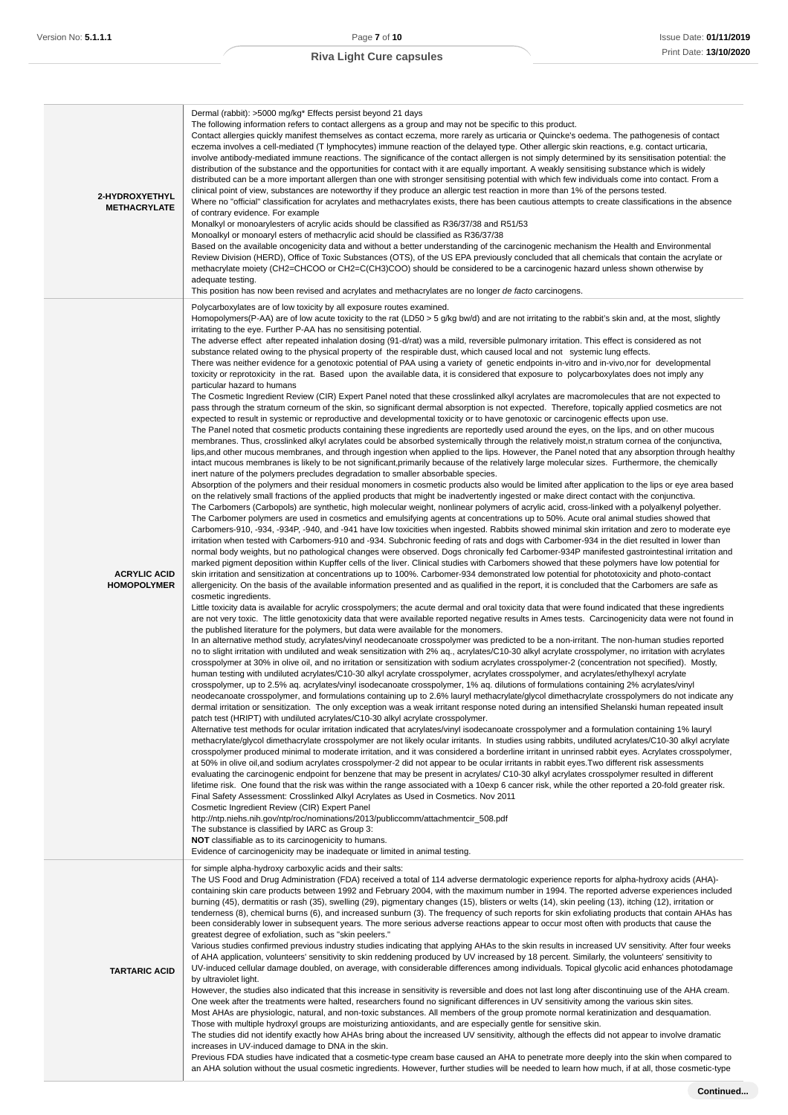| 2-HYDROXYETHYL<br><b>METHACRYLATE</b>     | Dermal (rabbit): >5000 mg/kg* Effects persist beyond 21 days<br>The following information refers to contact allergens as a group and may not be specific to this product.<br>Contact allergies quickly manifest themselves as contact eczema, more rarely as urticaria or Quincke's oedema. The pathogenesis of contact<br>eczema involves a cell-mediated (T lymphocytes) immune reaction of the delayed type. Other allergic skin reactions, e.g. contact urticaria,<br>involve antibody-mediated immune reactions. The significance of the contact allergen is not simply determined by its sensitisation potential: the<br>distribution of the substance and the opportunities for contact with it are equally important. A weakly sensitising substance which is widely<br>distributed can be a more important allergen than one with stronger sensitising potential with which few individuals come into contact. From a<br>clinical point of view, substances are noteworthy if they produce an allergic test reaction in more than 1% of the persons tested.<br>Where no "official" classification for acrylates and methacrylates exists, there has been cautious attempts to create classifications in the absence<br>of contrary evidence. For example<br>Monalkyl or monoarylesters of acrylic acids should be classified as R36/37/38 and R51/53<br>Monoalkyl or monoaryl esters of methacrylic acid should be classified as R36/37/38<br>Based on the available oncogenicity data and without a better understanding of the carcinogenic mechanism the Health and Environmental<br>Review Division (HERD), Office of Toxic Substances (OTS), of the US EPA previously concluded that all chemicals that contain the acrylate or<br>methacrylate moiety (CH2=CHCOO or CH2=C(CH3)COO) should be considered to be a carcinogenic hazard unless shown otherwise by<br>adequate testing.<br>This position has now been revised and acrylates and methacrylates are no longer de facto carcinogens.                                                                                                                                                                                                                                                                                                                                                                                                                                                                                                                                                                                                                                                                                                                                                                                                                                                                                                                                                                                                                                                                                                                                                                                                                                                                                                                                                                                                                                                                                                                                                                                                                                                                                                                                                                                                                                                                                                                                                                                                                                                                                                                                                                                                                                                                                                                                                                                                                                                                                                                                                                                                                                                                                                                                                                                                                                                                                                                                                                                                                                                                                                                                                                                                                                                                                                                                                                                                                                                                                                                                                                                                                                                                                                                                                                                                                                                                                                                                                                                                                                                                                                                                                                                                                                                                                                                       |
|-------------------------------------------|-----------------------------------------------------------------------------------------------------------------------------------------------------------------------------------------------------------------------------------------------------------------------------------------------------------------------------------------------------------------------------------------------------------------------------------------------------------------------------------------------------------------------------------------------------------------------------------------------------------------------------------------------------------------------------------------------------------------------------------------------------------------------------------------------------------------------------------------------------------------------------------------------------------------------------------------------------------------------------------------------------------------------------------------------------------------------------------------------------------------------------------------------------------------------------------------------------------------------------------------------------------------------------------------------------------------------------------------------------------------------------------------------------------------------------------------------------------------------------------------------------------------------------------------------------------------------------------------------------------------------------------------------------------------------------------------------------------------------------------------------------------------------------------------------------------------------------------------------------------------------------------------------------------------------------------------------------------------------------------------------------------------------------------------------------------------------------------------------------------------------------------------------------------------------------------------------------------------------------------------------------------------------------------------------------------------------------------------------------------------------------------------------------------------------------------------------------------------------------------------------------------------------------------------------------------------------------------------------------------------------------------------------------------------------------------------------------------------------------------------------------------------------------------------------------------------------------------------------------------------------------------------------------------------------------------------------------------------------------------------------------------------------------------------------------------------------------------------------------------------------------------------------------------------------------------------------------------------------------------------------------------------------------------------------------------------------------------------------------------------------------------------------------------------------------------------------------------------------------------------------------------------------------------------------------------------------------------------------------------------------------------------------------------------------------------------------------------------------------------------------------------------------------------------------------------------------------------------------------------------------------------------------------------------------------------------------------------------------------------------------------------------------------------------------------------------------------------------------------------------------------------------------------------------------------------------------------------------------------------------------------------------------------------------------------------------------------------------------------------------------------------------------------------------------------------------------------------------------------------------------------------------------------------------------------------------------------------------------------------------------------------------------------------------------------------------------------------------------------------------------------------------------------------------------------------------------------------------------------------------------------------------------------------------------------------------------------------------------------------------------------------------------------------------------------------------------------------------------------------------------------------------------------------------------------------------------------------------------------------------------------------------------------------------------------------------------------------------------------------------------------------------------------------------------------------------------------------------------------------------------------------------------------------------------------------------------------------------------------------------------------------------------------------------------------------------------------------------------------------------------------------------------------------------------------------------------------------------------------------------------------------------------------------------------------------------------------------------------------------------------------------------------------------------------------------------------------------------------------------------------------------------------------------------------------------------------------------------------------------------------------------------------------------------------------------------------------------|
| <b>ACRYLIC ACID</b><br><b>HOMOPOLYMER</b> | Polycarboxylates are of low toxicity by all exposure routes examined.<br>Homopolymers(P-AA) are of low acute toxicity to the rat (LD50 > 5 g/kg bw/d) and are not irritating to the rabbit's skin and, at the most, slightly<br>irritating to the eye. Further P-AA has no sensitising potential.<br>The adverse effect after repeated inhalation dosing (91-d/rat) was a mild, reversible pulmonary irritation. This effect is considered as not<br>substance related owing to the physical property of the respirable dust, which caused local and not systemic lung effects.<br>There was neither evidence for a genotoxic potential of PAA using a variety of genetic endpoints in-vitro and in-vivo, nor for developmental<br>toxicity or reprotoxicity in the rat. Based upon the available data, it is considered that exposure to polycarboxylates does not imply any<br>particular hazard to humans<br>The Cosmetic Ingredient Review (CIR) Expert Panel noted that these crosslinked alkyl acrylates are macromolecules that are not expected to<br>pass through the stratum corneum of the skin, so significant dermal absorption is not expected. Therefore, topically applied cosmetics are not<br>expected to result in systemic or reproductive and developmental toxicity or to have genotoxic or carcinogenic effects upon use.<br>The Panel noted that cosmetic products containing these ingredients are reportedly used around the eyes, on the lips, and on other mucous<br>membranes. Thus, crosslinked alkyl acrylates could be absorbed systemically through the relatively moist, n stratum cornea of the conjunctiva,<br>lips, and other mucous membranes, and through ingestion when applied to the lips. However, the Panel noted that any absorption through healthy<br>intact mucous membranes is likely to be not significant, primarily because of the relatively large molecular sizes. Furthermore, the chemically<br>inert nature of the polymers precludes degradation to smaller absorbable species.<br>Absorption of the polymers and their residual monomers in cosmetic products also would be limited after application to the lips or eye area based<br>on the relatively small fractions of the applied products that might be inadvertently ingested or make direct contact with the conjunctiva.<br>The Carbomers (Carbopols) are synthetic, high molecular weight, nonlinear polymers of acrylic acid, cross-linked with a polyalkenyl polyether.<br>The Carbomer polymers are used in cosmetics and emulsifying agents at concentrations up to 50%. Acute oral animal studies showed that<br>Carbomers-910, -934, -934P, -940, and -941 have low toxicities when ingested. Rabbits showed minimal skin irritation and zero to moderate eye<br>irritation when tested with Carbomers-910 and -934. Subchronic feeding of rats and dogs with Carbomer-934 in the diet resulted in lower than<br>normal body weights, but no pathological changes were observed. Dogs chronically fed Carbomer-934P manifested gastrointestinal irritation and<br>marked pigment deposition within Kupffer cells of the liver. Clinical studies with Carbomers showed that these polymers have low potential for<br>skin irritation and sensitization at concentrations up to 100%. Carbomer-934 demonstrated low potential for phototoxicity and photo-contact<br>allergenicity. On the basis of the available information presented and as qualified in the report, it is concluded that the Carbomers are safe as<br>cosmetic ingredients.<br>Little toxicity data is available for acrylic crosspolymers; the acute dermal and oral toxicity data that were found indicated that these ingredients<br>are not very toxic. The little genotoxicity data that were available reported negative results in Ames tests. Carcinogenicity data were not found in<br>the published literature for the polymers, but data were available for the monomers.<br>In an alternative method study, acrylates/vinyl neodecanoate crosspolymer was predicted to be a non-irritant. The non-human studies reported<br>no to slight irritation with undiluted and weak sensitization with 2% aq., acrylates/C10-30 alkyl acrylate crosspolymer, no irritation with acrylates<br>crosspolymer at 30% in olive oil, and no irritation or sensitization with sodium acrylates crosspolymer-2 (concentration not specified). Mostly,<br>human testing with undiluted acrylates/C10-30 alkyl acrylate crosspolymer, acrylates crosspolymer, and acrylates/ethylhexyl acrylate<br>crosspolymer, up to 2.5% aq. acrylates/vinyl isodecanoate crosspolymer, 1% aq. dilutions of formulations containing 2% acrylates/vinyl<br>neodecanoate crosspolymer, and formulations containing up to 2.6% lauryl methacrylate/glycol dimethacrylate crosspolymers do not indicate any<br>dermal irritation or sensitization. The only exception was a weak irritant response noted during an intensified Shelanski human repeated insult<br>patch test (HRIPT) with undiluted acrylates/C10-30 alkyl acrylate crosspolymer.<br>Alternative test methods for ocular irritation indicated that acrylates/vinyl isodecanoate crosspolymer and a formulation containing 1% lauryl<br>methacrylate/glycol dimethacrylate crosspolymer are not likely ocular irritants. In studies using rabbits, undiluted acrylates/C10-30 alkyl acrylate<br>crosspolymer produced minimal to moderate irritation, and it was considered a borderline irritant in unrinsed rabbit eyes. Acrylates crosspolymer,<br>at 50% in olive oil, and sodium acrylates crosspolymer-2 did not appear to be ocular irritants in rabbit eyes. Two different risk assessments<br>evaluating the carcinogenic endpoint for benzene that may be present in acrylates/ C10-30 alkyl acrylates crosspolymer resulted in different<br>lifetime risk. One found that the risk was within the range associated with a 10exp 6 cancer risk, while the other reported a 20-fold greater risk.<br>Final Safety Assessment: Crosslinked Alkyl Acrylates as Used in Cosmetics. Nov 2011<br>Cosmetic Ingredient Review (CIR) Expert Panel<br>http://ntp.niehs.nih.gov/ntp/roc/nominations/2013/publiccomm/attachmentcir_508.pdf<br>The substance is classified by IARC as Group 3: |
| <b>TARTARIC ACID</b>                      | <b>NOT</b> classifiable as to its carcinogenicity to humans.<br>Evidence of carcinogenicity may be inadequate or limited in animal testing.<br>for simple alpha-hydroxy carboxylic acids and their salts:<br>The US Food and Drug Administration (FDA) received a total of 114 adverse dermatologic experience reports for alpha-hydroxy acids (AHA)-<br>containing skin care products between 1992 and February 2004, with the maximum number in 1994. The reported adverse experiences included<br>burning (45), dermatitis or rash (35), swelling (29), pigmentary changes (15), blisters or welts (14), skin peeling (13), itching (12), irritation or<br>tenderness (8), chemical burns (6), and increased sunburn (3). The frequency of such reports for skin exfoliating products that contain AHAs has<br>been considerably lower in subsequent years. The more serious adverse reactions appear to occur most often with products that cause the<br>greatest degree of exfoliation, such as "skin peelers."<br>Various studies confirmed previous industry studies indicating that applying AHAs to the skin results in increased UV sensitivity. After four weeks<br>of AHA application, volunteers' sensitivity to skin reddening produced by UV increased by 18 percent. Similarly, the volunteers' sensitivity to<br>UV-induced cellular damage doubled, on average, with considerable differences among individuals. Topical glycolic acid enhances photodamage<br>by ultraviolet light.<br>However, the studies also indicated that this increase in sensitivity is reversible and does not last long after discontinuing use of the AHA cream.<br>One week after the treatments were halted, researchers found no significant differences in UV sensitivity among the various skin sites.<br>Most AHAs are physiologic, natural, and non-toxic substances. All members of the group promote normal keratinization and desquamation.<br>Those with multiple hydroxyl groups are moisturizing antioxidants, and are especially gentle for sensitive skin.<br>The studies did not identify exactly how AHAs bring about the increased UV sensitivity, although the effects did not appear to involve dramatic<br>increases in UV-induced damage to DNA in the skin.<br>Previous FDA studies have indicated that a cosmetic-type cream base caused an AHA to penetrate more deeply into the skin when compared to                                                                                                                                                                                                                                                                                                                                                                                                                                                                                                                                                                                                                                                                                                                                                                                                                                                                                                                                                                                                                                                                                                                                                                                                                                                                                                                                                                                                                                                                                                                                                                                                                                                                                                                                                                                                                                                                                                                                                                                                                                                                                                                                                                                                                                                                                                                                                                                                                                                                                                                                                                                                                                                                                                                                                                                                                                                                                                                                                                                                                                                                                                                                                                                                                                                                                                                                                                                                                                                                                                                                                                                                                                                                                                                                                                                                                                                                                                     |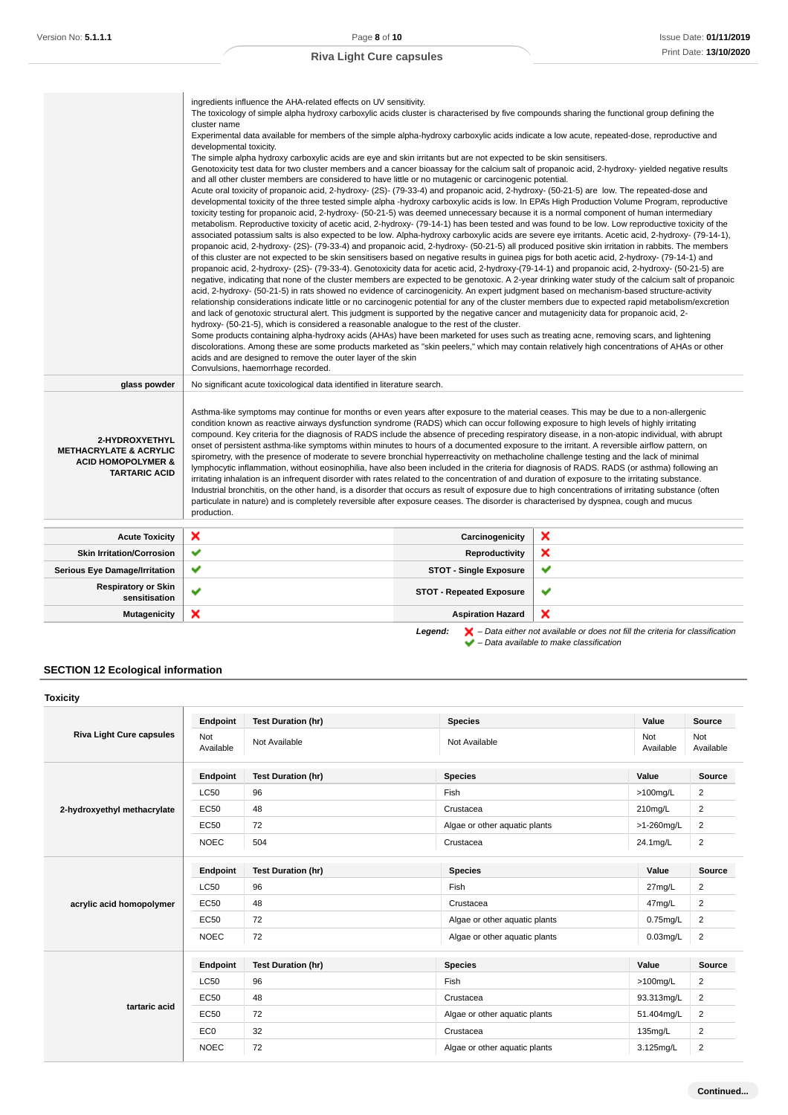|                                                                                                              | ingredients influence the AHA-related effects on UV sensitivity.<br>The toxicology of simple alpha hydroxy carboxylic acids cluster is characterised by five compounds sharing the functional group defining the<br>cluster name<br>Experimental data available for members of the simple alpha-hydroxy carboxylic acids indicate a low acute, repeated-dose, reproductive and<br>developmental toxicity.<br>The simple alpha hydroxy carboxylic acids are eye and skin irritants but are not expected to be skin sensitisers.<br>Genotoxicity test data for two cluster members and a cancer bioassay for the calcium salt of propanoic acid, 2-hydroxy-yielded negative results<br>and all other cluster members are considered to have little or no mutagenic or carcinogenic potential.<br>Acute oral toxicity of propanoic acid, 2-hydroxy- (2S)- (79-33-4) and propanoic acid, 2-hydroxy- (50-21-5) are low. The repeated-dose and<br>developmental toxicity of the three tested simple alpha -hydroxy carboxylic acids is low. In EPA's High Production Volume Program, reproductive<br>toxicity testing for propanoic acid, 2-hydroxy- (50-21-5) was deemed unnecessary because it is a normal component of human intermediary<br>metabolism. Reproductive toxicity of acetic acid, 2-hydroxy- (79-14-1) has been tested and was found to be low. Low reproductive toxicity of the<br>associated potassium salts is also expected to be low. Alpha-hydroxy carboxylic acids are severe eye irritants. Acetic acid, 2-hydroxy- (79-14-1),<br>propanoic acid, 2-hydroxy- (2S)- (79-33-4) and propanoic acid, 2-hydroxy- (50-21-5) all produced positive skin irritation in rabbits. The members<br>of this cluster are not expected to be skin sensitisers based on negative results in guinea pigs for both acetic acid, 2-hydroxy- (79-14-1) and<br>propanoic acid, 2-hydroxy- (2S)- (79-33-4). Genotoxicity data for acetic acid, 2-hydroxy-(79-14-1) and propanoic acid, 2-hydroxy- (50-21-5) are<br>acid, 2-hydroxy- (50-21-5) in rats showed no evidence of carcinogenicity. An expert judgment based on mechanism-based structure-activity<br>relationship considerations indicate little or no carcinogenic potential for any of the cluster members due to expected rapid metabolism/excretion<br>and lack of genotoxic structural alert. This judgment is supported by the negative cancer and mutagenicity data for propanoic acid, 2-<br>hydroxy- (50-21-5), which is considered a reasonable analogue to the rest of the cluster.<br>Some products containing alpha-hydroxy acids (AHAs) have been marketed for uses such as treating acne, removing scars, and lightening<br>discolorations. Among these are some products marketed as "skin peelers," which may contain relatively high concentrations of AHAs or other<br>acids and are designed to remove the outer layer of the skin<br>Convulsions, haemorrhage recorded. |                                 | negative, indicating that none of the cluster members are expected to be genotoxic. A 2-year drinking water study of the calcium salt of propanoic                  |
|--------------------------------------------------------------------------------------------------------------|----------------------------------------------------------------------------------------------------------------------------------------------------------------------------------------------------------------------------------------------------------------------------------------------------------------------------------------------------------------------------------------------------------------------------------------------------------------------------------------------------------------------------------------------------------------------------------------------------------------------------------------------------------------------------------------------------------------------------------------------------------------------------------------------------------------------------------------------------------------------------------------------------------------------------------------------------------------------------------------------------------------------------------------------------------------------------------------------------------------------------------------------------------------------------------------------------------------------------------------------------------------------------------------------------------------------------------------------------------------------------------------------------------------------------------------------------------------------------------------------------------------------------------------------------------------------------------------------------------------------------------------------------------------------------------------------------------------------------------------------------------------------------------------------------------------------------------------------------------------------------------------------------------------------------------------------------------------------------------------------------------------------------------------------------------------------------------------------------------------------------------------------------------------------------------------------------------------------------------------------------------------------------------------------------------------------------------------------------------------------------------------------------------------------------------------------------------------------------------------------------------------------------------------------------------------------------------------------------------------------------------------------------------------------------------------------------------------------------------------------------------------------------------------------------------------------------------------------------------------------------------------------------------------------------------------------------|---------------------------------|---------------------------------------------------------------------------------------------------------------------------------------------------------------------|
| glass powder                                                                                                 | No significant acute toxicological data identified in literature search.                                                                                                                                                                                                                                                                                                                                                                                                                                                                                                                                                                                                                                                                                                                                                                                                                                                                                                                                                                                                                                                                                                                                                                                                                                                                                                                                                                                                                                                                                                                                                                                                                                                                                                                                                                                                                                                                                                                                                                                                                                                                                                                                                                                                                                                                                                                                                                                                                                                                                                                                                                                                                                                                                                                                                                                                                                                                           |                                 |                                                                                                                                                                     |
| 2-HYDROXYETHYL<br><b>METHACRYLATE &amp; ACRYLIC</b><br><b>ACID HOMOPOLYMER &amp;</b><br><b>TARTARIC ACID</b> | Asthma-like symptoms may continue for months or even years after exposure to the material ceases. This may be due to a non-allergenic<br>condition known as reactive airways dysfunction syndrome (RADS) which can occur following exposure to high levels of highly irritating<br>compound. Key criteria for the diagnosis of RADS include the absence of preceding respiratory disease, in a non-atopic individual, with abrupt<br>onset of persistent asthma-like symptoms within minutes to hours of a documented exposure to the irritant. A reversible airflow pattern, on<br>spirometry, with the presence of moderate to severe bronchial hyperreactivity on methacholine challenge testing and the lack of minimal<br>lymphocytic inflammation, without eosinophilia, have also been included in the criteria for diagnosis of RADS. RADS (or asthma) following an<br>irritating inhalation is an infrequent disorder with rates related to the concentration of and duration of exposure to the irritating substance.<br>Industrial bronchitis, on the other hand, is a disorder that occurs as result of exposure due to high concentrations of irritating substance (often<br>particulate in nature) and is completely reversible after exposure ceases. The disorder is characterised by dyspnea, cough and mucus<br>production.                                                                                                                                                                                                                                                                                                                                                                                                                                                                                                                                                                                                                                                                                                                                                                                                                                                                                                                                                                                                                                                                                                                                                                                                                                                                                                                                                                                                                                                                                                                                                                                                      |                                 |                                                                                                                                                                     |
| <b>Acute Toxicity</b>                                                                                        | ×                                                                                                                                                                                                                                                                                                                                                                                                                                                                                                                                                                                                                                                                                                                                                                                                                                                                                                                                                                                                                                                                                                                                                                                                                                                                                                                                                                                                                                                                                                                                                                                                                                                                                                                                                                                                                                                                                                                                                                                                                                                                                                                                                                                                                                                                                                                                                                                                                                                                                                                                                                                                                                                                                                                                                                                                                                                                                                                                                  | Carcinogenicity                 | ×                                                                                                                                                                   |
| <b>Skin Irritation/Corrosion</b>                                                                             | ✔                                                                                                                                                                                                                                                                                                                                                                                                                                                                                                                                                                                                                                                                                                                                                                                                                                                                                                                                                                                                                                                                                                                                                                                                                                                                                                                                                                                                                                                                                                                                                                                                                                                                                                                                                                                                                                                                                                                                                                                                                                                                                                                                                                                                                                                                                                                                                                                                                                                                                                                                                                                                                                                                                                                                                                                                                                                                                                                                                  | <b>Reproductivity</b>           | ×                                                                                                                                                                   |
| <b>Serious Eye Damage/Irritation</b>                                                                         | ✔                                                                                                                                                                                                                                                                                                                                                                                                                                                                                                                                                                                                                                                                                                                                                                                                                                                                                                                                                                                                                                                                                                                                                                                                                                                                                                                                                                                                                                                                                                                                                                                                                                                                                                                                                                                                                                                                                                                                                                                                                                                                                                                                                                                                                                                                                                                                                                                                                                                                                                                                                                                                                                                                                                                                                                                                                                                                                                                                                  | <b>STOT - Single Exposure</b>   | ✔                                                                                                                                                                   |
| <b>Respiratory or Skin</b><br>sensitisation                                                                  | ✔                                                                                                                                                                                                                                                                                                                                                                                                                                                                                                                                                                                                                                                                                                                                                                                                                                                                                                                                                                                                                                                                                                                                                                                                                                                                                                                                                                                                                                                                                                                                                                                                                                                                                                                                                                                                                                                                                                                                                                                                                                                                                                                                                                                                                                                                                                                                                                                                                                                                                                                                                                                                                                                                                                                                                                                                                                                                                                                                                  | <b>STOT - Repeated Exposure</b> | ✔                                                                                                                                                                   |
| <b>Mutagenicity</b>                                                                                          | ×                                                                                                                                                                                                                                                                                                                                                                                                                                                                                                                                                                                                                                                                                                                                                                                                                                                                                                                                                                                                                                                                                                                                                                                                                                                                                                                                                                                                                                                                                                                                                                                                                                                                                                                                                                                                                                                                                                                                                                                                                                                                                                                                                                                                                                                                                                                                                                                                                                                                                                                                                                                                                                                                                                                                                                                                                                                                                                                                                  | <b>Aspiration Hazard</b>        | ×                                                                                                                                                                   |
|                                                                                                              |                                                                                                                                                                                                                                                                                                                                                                                                                                                                                                                                                                                                                                                                                                                                                                                                                                                                                                                                                                                                                                                                                                                                                                                                                                                                                                                                                                                                                                                                                                                                                                                                                                                                                                                                                                                                                                                                                                                                                                                                                                                                                                                                                                                                                                                                                                                                                                                                                                                                                                                                                                                                                                                                                                                                                                                                                                                                                                                                                    | Legend:                         | $\blacktriangleright$ – Data either not available or does not fill the criteria for classification<br>$\blacktriangleright$ - Data available to make classification |

# **SECTION 12 Ecological information**

| <b>Toxicity</b>                 |                  |                           |                               |                  |                  |
|---------------------------------|------------------|---------------------------|-------------------------------|------------------|------------------|
|                                 | Endpoint         | <b>Test Duration (hr)</b> | <b>Species</b>                | Value            | <b>Source</b>    |
| <b>Riva Light Cure capsules</b> | Not<br>Available | Not Available             | Not Available                 | Not<br>Available | Not<br>Available |
|                                 | Endpoint         | <b>Test Duration (hr)</b> | <b>Species</b>                | Value            | <b>Source</b>    |
|                                 | <b>LC50</b>      | 96                        | Fish                          | $>100$ mg/L      | $\overline{2}$   |
| 2-hydroxyethyl methacrylate     | <b>EC50</b>      | 48                        | Crustacea                     | 210mg/L          | 2                |
|                                 | <b>EC50</b>      | 72                        | Algae or other aquatic plants | >1-260mg/L       | $\overline{2}$   |
|                                 | <b>NOEC</b>      | 504                       | Crustacea                     | 24.1mg/L         | 2                |
|                                 | Endpoint         | <b>Test Duration (hr)</b> | <b>Species</b>                | Value            | Source           |
| acrylic acid homopolymer        | <b>LC50</b>      | 96                        | Fish                          | 27mg/L           | 2                |
|                                 | <b>EC50</b>      | 48                        | Crustacea                     | 47mg/L           | 2                |
|                                 | <b>EC50</b>      | 72                        | Algae or other aquatic plants | $0.75$ mg/L      | $\overline{2}$   |
|                                 | <b>NOEC</b>      | 72                        | Algae or other aquatic plants | $0.03$ mg/L      | $\overline{2}$   |
|                                 | Endpoint         | <b>Test Duration (hr)</b> | <b>Species</b>                | Value            | <b>Source</b>    |
|                                 | <b>LC50</b>      | 96                        | Fish                          | $>100$ mg/L      | 2                |
|                                 | <b>EC50</b>      | 48                        | Crustacea                     | 93.313mg/L       | 2                |
| tartaric acid                   | <b>EC50</b>      | 72                        | Algae or other aquatic plants | 51.404mg/L       | $\overline{2}$   |
|                                 | EC <sub>0</sub>  | 32                        | Crustacea                     | 135mg/L          | 2                |
|                                 | <b>NOEC</b>      | 72                        | Algae or other aquatic plants | 3.125mg/L        | $\overline{2}$   |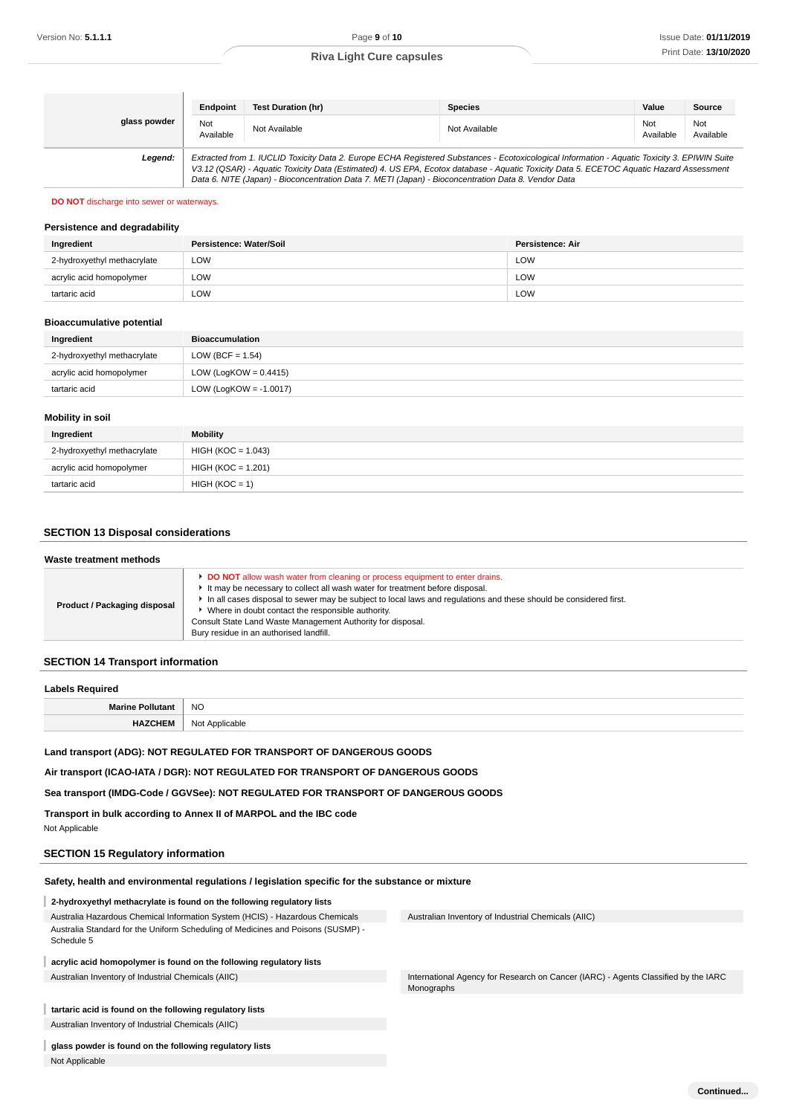|              | Endpoint                                                                                                                                                                                                                                                                                                                                                                                        | <b>Test Duration (hr)</b> | <b>Species</b> | Value            | Source           |
|--------------|-------------------------------------------------------------------------------------------------------------------------------------------------------------------------------------------------------------------------------------------------------------------------------------------------------------------------------------------------------------------------------------------------|---------------------------|----------------|------------------|------------------|
| glass powder | Not<br>Available                                                                                                                                                                                                                                                                                                                                                                                | Not Available             | Not Available  | Not<br>Available | Not<br>Available |
| Legend:      | Extracted from 1. IUCLID Toxicity Data 2. Europe ECHA Registered Substances - Ecotoxicological Information - Aquatic Toxicity 3. EPIWIN Suite<br>V3.12 (QSAR) - Aquatic Toxicity Data (Estimated) 4. US EPA, Ecotox database - Aquatic Toxicity Data 5. ECETOC Aquatic Hazard Assessment<br>Data 6. NITE (Japan) - Bioconcentration Data 7. METI (Japan) - Bioconcentration Data 8. Vendor Data |                           |                |                  |                  |

#### **DO NOT** discharge into sewer or waterways.

#### **Persistence and degradability**

| Ingredient                  | Persistence: Water/Soil | Persistence: Air |
|-----------------------------|-------------------------|------------------|
| 2-hydroxyethyl methacrylate | LOW                     | LOW              |
| acrylic acid homopolymer    | LOW                     | LOW              |
| tartaric acid               | LOW                     | LOW              |

#### **Bioaccumulative potential**

| <b>Bioaccumulation</b>    |
|---------------------------|
| LOW (BCF = $1.54$ )       |
| LOW (LogKOW = $0.4415$ )  |
| LOW (LogKOW = $-1.0017$ ) |
|                           |

# **Mobility in soil**

| Ingredient                  | <b>Mobility</b>      |
|-----------------------------|----------------------|
| 2-hydroxyethyl methacrylate | HIGH (KOC = 1.043)   |
| acrylic acid homopolymer    | $HIGH (KOC = 1.201)$ |
| tartaric acid               | $HIGH (KOC = 1)$     |

# **SECTION 13 Disposal considerations**

| Waste treatment methods      |                                                                                                                                                                                                                                                                                                                                                                                                                                                        |  |
|------------------------------|--------------------------------------------------------------------------------------------------------------------------------------------------------------------------------------------------------------------------------------------------------------------------------------------------------------------------------------------------------------------------------------------------------------------------------------------------------|--|
| Product / Packaging disposal | <b>DO NOT</b> allow wash water from cleaning or process equipment to enter drains.<br>It may be necessary to collect all wash water for treatment before disposal.<br>In all cases disposal to sewer may be subject to local laws and regulations and these should be considered first.<br>Where in doubt contact the responsible authority.<br>Consult State Land Waste Management Authority for disposal.<br>Bury residue in an authorised landfill. |  |

### **SECTION 14 Transport information**

| . .<br>∟a⊧        |                            |  |
|-------------------|----------------------------|--|
| <b>Marine</b>     | <b>NO</b>                  |  |
| $\mathbf{m}$<br>. | ١n<br>\nnlir<br>cable<br>◝ |  |

# **Land transport (ADG): NOT REGULATED FOR TRANSPORT OF DANGEROUS GOODS**

**Air transport (ICAO-IATA / DGR): NOT REGULATED FOR TRANSPORT OF DANGEROUS GOODS**

**Sea transport (IMDG-Code / GGVSee): NOT REGULATED FOR TRANSPORT OF DANGEROUS GOODS**

**Transport in bulk according to Annex II of MARPOL and the IBC code** Not Applicable

#### **SECTION 15 Regulatory information**

**glass powder is found on the following regulatory lists**

Not Applicable

**Safety, health and environmental regulations / legislation specific for the substance or mixture**

| 2-hydroxyethyl methacrylate is found on the following regulatory lists                         |                                                                                    |
|------------------------------------------------------------------------------------------------|------------------------------------------------------------------------------------|
| Australia Hazardous Chemical Information System (HCIS) - Hazardous Chemicals                   | Australian Inventory of Industrial Chemicals (AIIC)                                |
| Australia Standard for the Uniform Scheduling of Medicines and Poisons (SUSMP) -<br>Schedule 5 |                                                                                    |
| acrylic acid homopolymer is found on the following regulatory lists                            |                                                                                    |
| Australian Inventory of Industrial Chemicals (AIIC)                                            | International Agency for Research on Cancer (IARC) - Agents Classified by the IARC |
|                                                                                                | Monographs                                                                         |
| tartaric acid is found on the following regulatory lists                                       |                                                                                    |
| Australian Inventory of Industrial Chemicals (AIIC)                                            |                                                                                    |